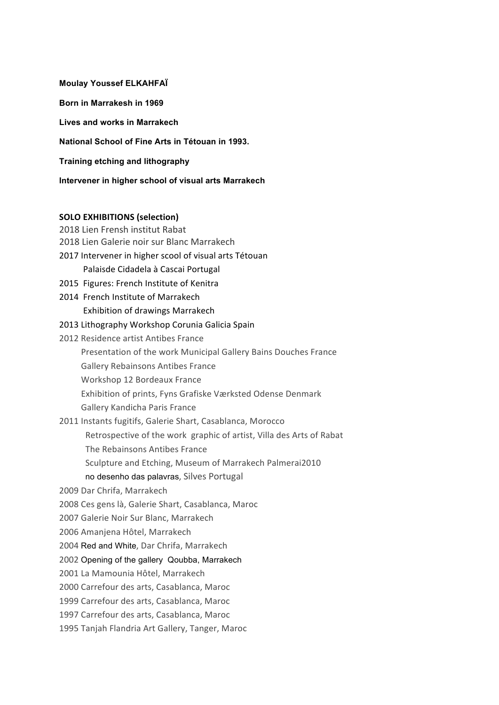**Moulay Youssef ELKAHFAÏ Born in Marrakesh in 1969 Lives and works in Marrakech National School of Fine Arts in Tétouan in 1993. Training etching and lithography Intervener in higher school of visual arts Marrakech SOLO EXHIBITIONS (selection)** 2018 Lien Frensh institut Rabat

2018 Lien Galerie noir sur Blanc Marrakech 2017 Intervener in higher scool of visual arts Tétouan Palaisde Cidadela à Cascai Portugal 2015 Figures: French Institute of Kenitra 2014 French Institute of Marrakech Exhibition of drawings Marrakech 2013 Lithography Workshop Corunia Galicia Spain 2012 Residence artist Antibes France Presentation of the work Municipal Gallery Bains Douches France Gallery Rebainsons Antibes France Workshop 12 Bordeaux France Exhibition of prints, Fyns Grafiske Værksted Odense Denmark Gallery Kandicha Paris France 2011 Instants fugitifs, Galerie Shart, Casablanca, Morocco Retrospective of the work graphic of artist, Villa des Arts of Rabat The Rebainsons Antibes France Sculpture and Etching, Museum of Marrakech Palmerai2010 no desenho das palavras, Silves Portugal 2009 Dar Chrifa, Marrakech 2008 Ces gens là, Galerie Shart, Casablanca, Maroc 2007 Galerie Noir Sur Blanc, Marrakech 2006 Amanjena Hôtel, Marrakech 2004 Red and White, Dar Chrifa, Marrakech 2002 Opening of the gallery Qoubba, Marrakech 2001 La Mamounia Hôtel, Marrakech 2000 Carrefour des arts, Casablanca, Maroc 1999 Carrefour des arts, Casablanca, Maroc 1997 Carrefour des arts, Casablanca, Maroc

1995 Tanjah Flandria Art Gallery, Tanger, Maroc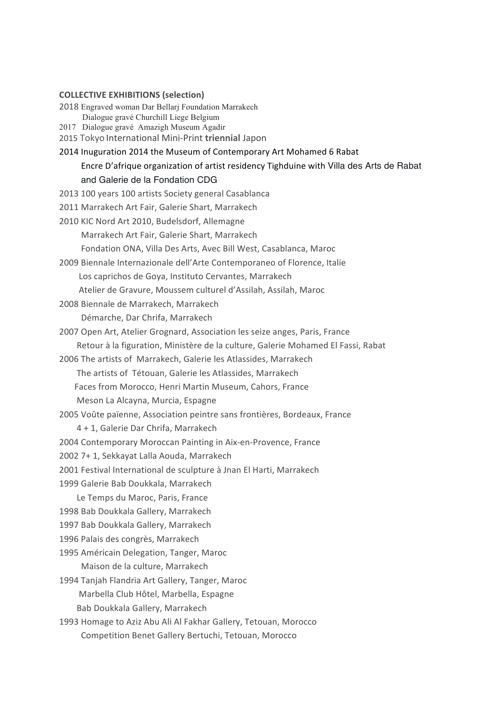## **COLLECTIVE EXHIBITIONS (selection)**

2018%Engraved woman Dar Bellarj Foundation Marrakech

Dialogue gravé Churchill Liege Belgium

2017 Dialogue gravé Amazigh Museum Agadir

2015%Tokyo International%Mini^Print **triennial** Japon

2014 Inuguration 2014 the Museum of Contemporary Art Mohamed 6 Rabat

Encre D'afrique organization of artist residency Tighduine with Villa des Arts de Rabat

## and Galerie de la Fondation CDG

2013 100 years 100 artists Society general Casablanca

2011 Marrakech Art Fair, Galerie Shart, Marrakech

2010 KIC Nord Art 2010, Budelsdorf, Allemagne

Marrakech Art Fair, Galerie Shart, Marrakech

Fondation ONA, Villa Des Arts, Avec Bill West, Casablanca, Maroc

2009 Biennale Internazionale dell'Arte Contemporaneo of Florence, Italie

Los caprichos de Goya, Instituto Cervantes, Marrakech

Atelier de Gravure, Moussem culturel d'Assilah, Assilah, Maroc

2008 Biennale de Marrakech, Marrakech

Démarche, Dar Chrifa, Marrakech

2007 Open Art, Atelier Grognard, Association les seize anges, Paris, France

Retour à la figuration, Ministère de la culture, Galerie Mohamed El Fassi, Rabat

2006 The artists of Marrakech, Galerie les Atlassides, Marrakech

The artists of Tétouan, Galerie les Atlassides, Marrakech

Faces from Morocco, Henri Martin Museum, Cahors, France

Meson La Alcayna, Murcia, Espagne

2005 Voûte païenne, Association peintre sans frontières, Bordeaux, France

4 + 1, Galerie Dar Chrifa, Marrakech

2004 Contemporary Moroccan Painting in Aix-en-Provence, France

2002 7+ 1, Sekkayat Lalla Aouda, Marrakech

2001 Festival International de sculpture à Jnan El Harti, Marrakech

1999 Galerie Bab Doukkala, Marrakech

Le Temps du Maroc, Paris, France

1998 Bab Doukkala Gallery, Marrakech

1997 Bab Doukkala Gallery, Marrakech

1996 Palais des congrès, Marrakech

1995 Américain Delegation, Tanger, Maroc

Maison de la culture, Marrakech

1994 Tanjah Flandria Art Gallery, Tanger, Maroc

Marbella Club Hôtel, Marbella, Espagne

Bab Doukkala Gallery, Marrakech

1993 Homage to Aziz Abu Ali Al Fakhar Gallery, Tetouan, Morocco Competition Benet Gallery Bertuchi, Tetouan, Morocco